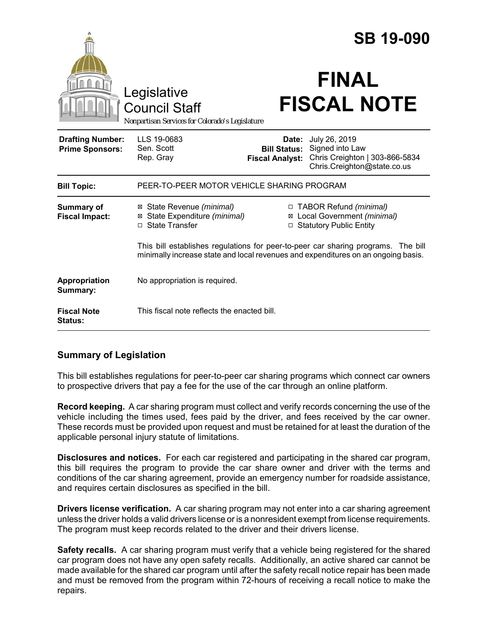|                                                   |                                                                                                                                                                        |                                               | <b>SB 19-090</b>                                                                                        |
|---------------------------------------------------|------------------------------------------------------------------------------------------------------------------------------------------------------------------------|-----------------------------------------------|---------------------------------------------------------------------------------------------------------|
|                                                   | Legislative<br><b>Council Staff</b><br>Nonpartisan Services for Colorado's Legislature                                                                                 |                                               | <b>FINAL</b><br><b>FISCAL NOTE</b>                                                                      |
| <b>Drafting Number:</b><br><b>Prime Sponsors:</b> | LLS 19-0683<br>Sen. Scott<br>Rep. Gray                                                                                                                                 | <b>Bill Status:</b><br><b>Fiscal Analyst:</b> | Date: July 26, 2019<br>Signed into Law<br>Chris Creighton   303-866-5834<br>Chris.Creighton@state.co.us |
| <b>Bill Topic:</b>                                | PEER-TO-PEER MOTOR VEHICLE SHARING PROGRAM                                                                                                                             |                                               |                                                                                                         |
| Summary of<br><b>Fiscal Impact:</b>               | ⊠ State Revenue (minimal)<br>⊠ State Expenditure (minimal)<br>□ State Transfer                                                                                         |                                               | □ TABOR Refund (minimal)<br>⊠ Local Government (minimal)<br>□ Statutory Public Entity                   |
|                                                   | This bill establishes regulations for peer-to-peer car sharing programs. The bill<br>minimally increase state and local revenues and expenditures on an ongoing basis. |                                               |                                                                                                         |
| Appropriation<br>Summary:                         | No appropriation is required.                                                                                                                                          |                                               |                                                                                                         |
| <b>Fiscal Note</b><br><b>Status:</b>              | This fiscal note reflects the enacted bill.                                                                                                                            |                                               |                                                                                                         |

# **Summary of Legislation**

This bill establishes regulations for peer-to-peer car sharing programs which connect car owners to prospective drivers that pay a fee for the use of the car through an online platform.

**Record keeping.** A car sharing program must collect and verify records concerning the use of the vehicle including the times used, fees paid by the driver, and fees received by the car owner. These records must be provided upon request and must be retained for at least the duration of the applicable personal injury statute of limitations.

**Disclosures and notices.** For each car registered and participating in the shared car program, this bill requires the program to provide the car share owner and driver with the terms and conditions of the car sharing agreement, provide an emergency number for roadside assistance, and requires certain disclosures as specified in the bill.

**Drivers license verification.** A car sharing program may not enter into a car sharing agreement unless the driver holds a valid drivers license or is a nonresident exempt from license requirements. The program must keep records related to the driver and their drivers license.

**Safety recalls.** A car sharing program must verify that a vehicle being registered for the shared car program does not have any open safety recalls. Additionally, an active shared car cannot be made available for the shared car program until after the safety recall notice repair has been made and must be removed from the program within 72-hours of receiving a recall notice to make the repairs.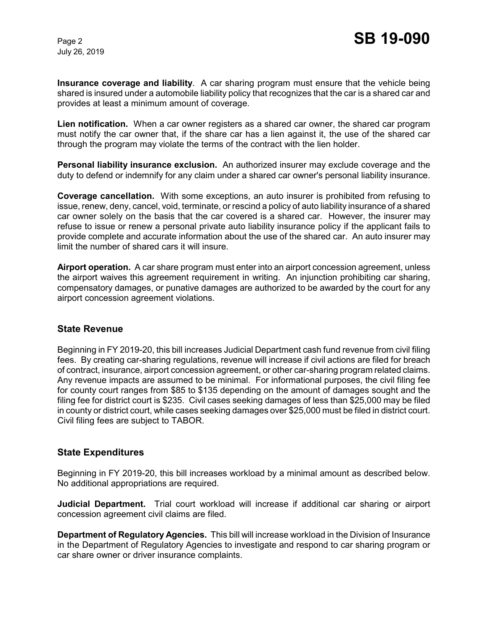July 26, 2019

**Insurance coverage and liability**. A car sharing program must ensure that the vehicle being shared is insured under a automobile liability policy that recognizes that the car is a shared car and provides at least a minimum amount of coverage.

**Lien notification.** When a car owner registers as a shared car owner, the shared car program must notify the car owner that, if the share car has a lien against it, the use of the shared car through the program may violate the terms of the contract with the lien holder.

**Personal liability insurance exclusion.** An authorized insurer may exclude coverage and the duty to defend or indemnify for any claim under a shared car owner's personal liability insurance.

**Coverage cancellation.** With some exceptions, an auto insurer is prohibited from refusing to issue, renew, deny, cancel, void, terminate, or rescind a policy of auto liability insurance of a shared car owner solely on the basis that the car covered is a shared car. However, the insurer may refuse to issue or renew a personal private auto liability insurance policy if the applicant fails to provide complete and accurate information about the use of the shared car. An auto insurer may limit the number of shared cars it will insure.

**Airport operation.** A car share program must enter into an airport concession agreement, unless the airport waives this agreement requirement in writing. An injunction prohibiting car sharing, compensatory damages, or punative damages are authorized to be awarded by the court for any airport concession agreement violations.

### **State Revenue**

Beginning in FY 2019-20, this bill increases Judicial Department cash fund revenue from civil filing fees. By creating car-sharing regulations, revenue will increase if civil actions are filed for breach of contract, insurance, airport concession agreement, or other car-sharing program related claims. Any revenue impacts are assumed to be minimal. For informational purposes, the civil filing fee for county court ranges from \$85 to \$135 depending on the amount of damages sought and the filing fee for district court is \$235. Civil cases seeking damages of less than \$25,000 may be filed in county or district court, while cases seeking damages over \$25,000 must be filed in district court. Civil filing fees are subject to TABOR.

### **State Expenditures**

Beginning in FY 2019-20, this bill increases workload by a minimal amount as described below. No additional appropriations are required.

**Judicial Department.** Trial court workload will increase if additional car sharing or airport concession agreement civil claims are filed.

**Department of Regulatory Agencies.** This bill will increase workload in the Division of Insurance in the Department of Regulatory Agencies to investigate and respond to car sharing program or car share owner or driver insurance complaints.